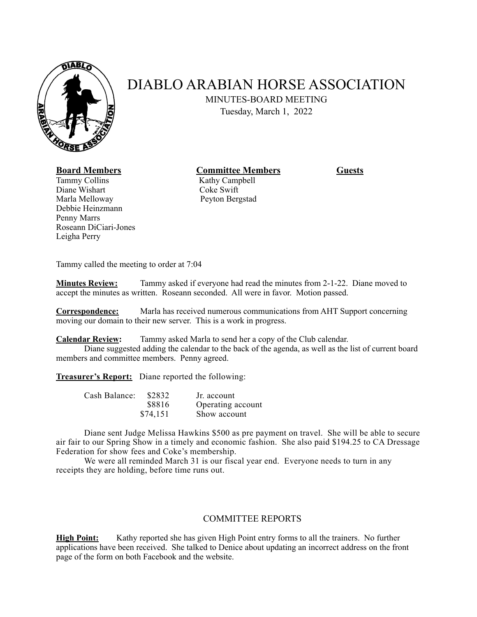

## DIABLO ARABIAN HORSE ASSOCIATION

MINUTES-BOARD MEETING

Tuesday, March 1, 2022

**Board Members Committee Members Guests** 

Tammy Collins Kathy Campbell Diane Wishart Coke Swift Marla Melloway **Peyton Bergstad** Debbie Heinzmann Penny Marrs Roseann DiCiari-Jones Leigha Perry

Tammy called the meeting to order at 7:04

**Minutes Review:** Tammy asked if everyone had read the minutes from 2-1-22. Diane moved to accept the minutes as written. Roseann seconded. All were in favor. Motion passed.

**Correspondence:** Marla has received numerous communications from AHT Support concerning moving our domain to their new server. This is a work in progress.

**Calendar Review:** Tammy asked Marla to send her a copy of the Club calendar.

 Diane suggested adding the calendar to the back of the agenda, as well as the list of current board members and committee members. Penny agreed.

**Treasurer's Report:** Diane reported the following:

| Cash Balance: | \$2832   | Jr. account       |
|---------------|----------|-------------------|
|               | \$8816   | Operating account |
|               | \$74,151 | Show account      |

 Diane sent Judge Melissa Hawkins \$500 as pre payment on travel. She will be able to secure air fair to our Spring Show in a timely and economic fashion. She also paid \$194.25 to CA Dressage Federation for show fees and Coke's membership.

We were all reminded March 31 is our fiscal year end. Everyone needs to turn in any receipts they are holding, before time runs out.

## COMMITTEE REPORTS

**High Point:** Kathy reported she has given High Point entry forms to all the trainers. No further applications have been received. She talked to Denice about updating an incorrect address on the front page of the form on both Facebook and the website.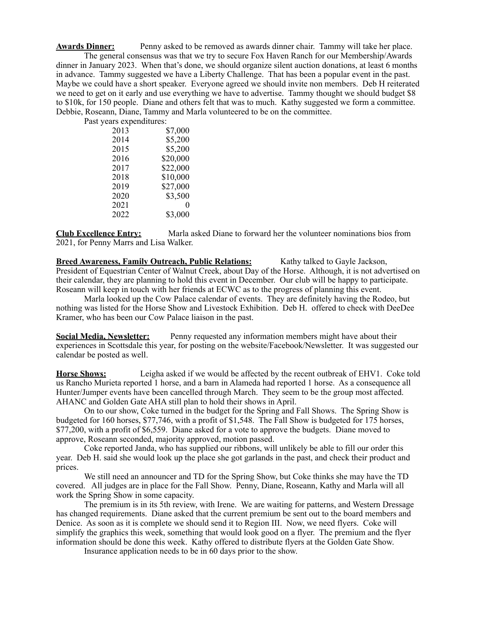**Awards Dinner:** Penny asked to be removed as awards dinner chair. Tammy will take her place. The general consensus was that we try to secure Fox Haven Ranch for our Membership/Awards dinner in January 2023. When that's done, we should organize silent auction donations, at least 6 months in advance. Tammy suggested we have a Liberty Challenge. That has been a popular event in the past. Maybe we could have a short speaker. Everyone agreed we should invite non members. Deb H reiterated we need to get on it early and use everything we have to advertise. Tammy thought we should budget \$8 to \$10k, for 150 people. Diane and others felt that was to much. Kathy suggested we form a committee. Debbie, Roseann, Diane, Tammy and Marla volunteered to be on the committee.

Past years expenditures:

| 2013 | \$7,000  |
|------|----------|
| 2014 | \$5,200  |
| 2015 | \$5,200  |
| 2016 | \$20,000 |
| 2017 | \$22,000 |
| 2018 | \$10,000 |
| 2019 | \$27,000 |
| 2020 | \$3,500  |
| 2021 | 0        |
| 2022 | \$3,000  |
|      |          |

**Club Excellence Entry:** Marla asked Diane to forward her the volunteer nominations bios from 2021, for Penny Marrs and Lisa Walker.

**Breed Awareness, Family Outreach, Public Relations:** Kathy talked to Gayle Jackson, President of Equestrian Center of Walnut Creek, about Day of the Horse. Although, it is not advertised on their calendar, they are planning to hold this event in December. Our club will be happy to participate. Roseann will keep in touch with her friends at ECWC as to the progress of planning this event.

 Marla looked up the Cow Palace calendar of events. They are definitely having the Rodeo, but nothing was listed for the Horse Show and Livestock Exhibition. Deb H. offered to check with DeeDee Kramer, who has been our Cow Palace liaison in the past.

**Social Media, Newsletter:** Penny requested any information members might have about their experiences in Scottsdale this year, for posting on the website/Facebook/Newsletter. It was suggested our calendar be posted as well.

**Horse Shows:** Leigha asked if we would be affected by the recent outbreak of EHV1. Coke told us Rancho Murieta reported 1 horse, and a barn in Alameda had reported 1 horse. As a consequence all Hunter/Jumper events have been cancelled through March. They seem to be the group most affected. AHANC and Golden Gate AHA still plan to hold their shows in April.

 On to our show, Coke turned in the budget for the Spring and Fall Shows. The Spring Show is budgeted for 160 horses, \$77,746, with a profit of \$1,548. The Fall Show is budgeted for 175 horses, \$77,200, with a profit of \$6,559. Diane asked for a vote to approve the budgets. Diane moved to approve, Roseann seconded, majority approved, motion passed.

 Coke reported Janda, who has supplied our ribbons, will unlikely be able to fill our order this year. Deb H. said she would look up the place she got garlands in the past, and check their product and prices.

 We still need an announcer and TD for the Spring Show, but Coke thinks she may have the TD covered. All judges are in place for the Fall Show. Penny, Diane, Roseann, Kathy and Marla will all work the Spring Show in some capacity.

 The premium is in its 5th review, with Irene. We are waiting for patterns, and Western Dressage has changed requirements. Diane asked that the current premium be sent out to the board members and Denice. As soon as it is complete we should send it to Region III. Now, we need flyers. Coke will simplify the graphics this week, something that would look good on a flyer. The premium and the flyer information should be done this week. Kathy offered to distribute flyers at the Golden Gate Show.

Insurance application needs to be in 60 days prior to the show.